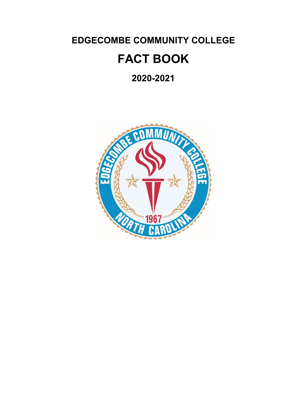**EDGECOMBE COMMUNITY COLLEGE**

# **FACT BOOK**

**2020-2021**

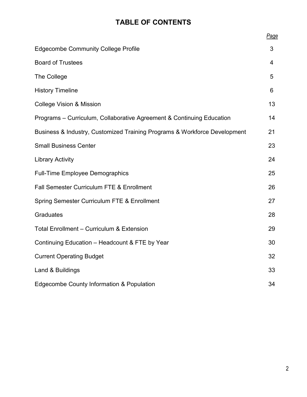# **TABLE OF CONTENTS**

|                                                                           | Page |
|---------------------------------------------------------------------------|------|
| <b>Edgecombe Community College Profile</b>                                | 3    |
| <b>Board of Trustees</b>                                                  | 4    |
| The College                                                               | 5    |
| <b>History Timeline</b>                                                   | 6    |
| <b>College Vision &amp; Mission</b>                                       | 13   |
| Programs - Curriculum, Collaborative Agreement & Continuing Education     | 14   |
| Business & Industry, Customized Training Programs & Workforce Development | 21   |
| <b>Small Business Center</b>                                              | 23   |
| <b>Library Activity</b>                                                   | 24   |
| <b>Full-Time Employee Demographics</b>                                    | 25   |
| <b>Fall Semester Curriculum FTE &amp; Enrollment</b>                      | 26   |
| Spring Semester Curriculum FTE & Enrollment                               | 27   |
| <b>Graduates</b>                                                          | 28   |
| <b>Total Enrollment - Curriculum &amp; Extension</b>                      | 29   |
| Continuing Education - Headcount & FTE by Year                            | 30   |
| <b>Current Operating Budget</b>                                           | 32   |
| Land & Buildings                                                          | 33   |
| <b>Edgecombe County Information &amp; Population</b>                      | 34   |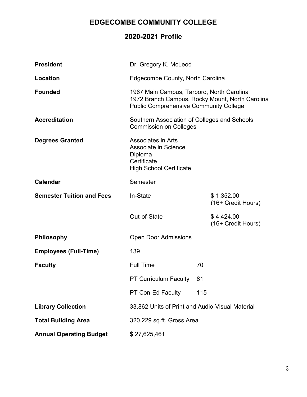# **EDGECOMBE COMMUNITY COLLEGE**

# **2020-2021 Profile**

| <b>President</b>                 | Dr. Gregory K. McLeod                                                                                                                         |     |                                  |  |  |  |
|----------------------------------|-----------------------------------------------------------------------------------------------------------------------------------------------|-----|----------------------------------|--|--|--|
| Location                         | Edgecombe County, North Carolina                                                                                                              |     |                                  |  |  |  |
| <b>Founded</b>                   | 1967 Main Campus, Tarboro, North Carolina<br>1972 Branch Campus, Rocky Mount, North Carolina<br><b>Public Comprehensive Community College</b> |     |                                  |  |  |  |
| <b>Accreditation</b>             | Southern Association of Colleges and Schools<br><b>Commission on Colleges</b>                                                                 |     |                                  |  |  |  |
| <b>Degrees Granted</b>           | <b>Associates in Arts</b><br>Associate in Science<br>Diploma<br>Certificate<br><b>High School Certificate</b>                                 |     |                                  |  |  |  |
| <b>Calendar</b>                  | Semester                                                                                                                                      |     |                                  |  |  |  |
| <b>Semester Tuition and Fees</b> | In-State                                                                                                                                      |     | \$1,352.00<br>(16+ Credit Hours) |  |  |  |
|                                  | Out-of-State                                                                                                                                  |     | \$4,424.00<br>(16+ Credit Hours) |  |  |  |
| <b>Philosophy</b>                | <b>Open Door Admissions</b>                                                                                                                   |     |                                  |  |  |  |
| <b>Employees (Full-Time)</b>     | 139                                                                                                                                           |     |                                  |  |  |  |
| <b>Faculty</b>                   | <b>Full Time</b>                                                                                                                              | 70  |                                  |  |  |  |
|                                  | <b>PT Curriculum Faculty</b>                                                                                                                  | 81  |                                  |  |  |  |
|                                  | PT Con-Ed Faculty                                                                                                                             | 115 |                                  |  |  |  |
| <b>Library Collection</b>        | 33,862 Units of Print and Audio-Visual Material                                                                                               |     |                                  |  |  |  |
| <b>Total Building Area</b>       | 320,229 sq.ft. Gross Area                                                                                                                     |     |                                  |  |  |  |
| <b>Annual Operating Budget</b>   | \$27,625,461                                                                                                                                  |     |                                  |  |  |  |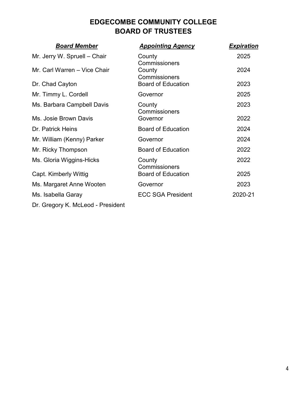# **EDGECOMBE COMMUNITY COLLEGE BOARD OF TRUSTEES**

| <b>Board Member</b>               | <b>Appointing Agency</b>  | <u>Expiration</u> |
|-----------------------------------|---------------------------|-------------------|
| Mr. Jerry W. Spruell - Chair      | County<br>Commissioners   | 2025              |
| Mr. Carl Warren - Vice Chair      | County<br>Commissioners   | 2024              |
| Dr. Chad Cayton                   | <b>Board of Education</b> | 2023              |
| Mr. Timmy L. Cordell              | Governor                  | 2025              |
| Ms. Barbara Campbell Davis        | County<br>Commissioners   | 2023              |
| Ms. Josie Brown Davis             | Governor                  | 2022              |
| Dr. Patrick Heins                 | <b>Board of Education</b> | 2024              |
| Mr. William (Kenny) Parker        | Governor                  | 2024              |
| Mr. Ricky Thompson                | <b>Board of Education</b> | 2022              |
| Ms. Gloria Wiggins-Hicks          | County<br>Commissioners   | 2022              |
| Capt. Kimberly Wittig             | <b>Board of Education</b> | 2025              |
| Ms. Margaret Anne Wooten          | Governor                  | 2023              |
| Ms. Isabella Garay                | <b>ECC SGA President</b>  | 2020-21           |
| Dr. Gregory K. McLeod - President |                           |                   |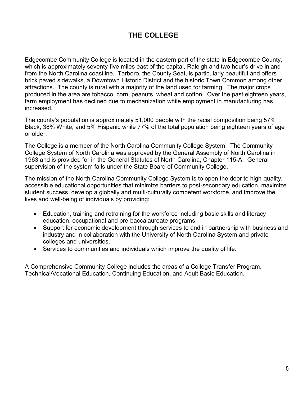# **THE COLLEGE**

Edgecombe Community College is located in the eastern part of the state in Edgecombe County, which is approximately seventy-five miles east of the capital, Raleigh and two hour's drive inland from the North Carolina coastline. Tarboro, the County Seat, is particularly beautiful and offers brick paved sidewalks, a Downtown Historic District and the historic Town Common among other attractions. The county is rural with a majority of the land used for farming. The major crops produced in the area are tobacco, corn, peanuts, wheat and cotton. Over the past eighteen years, farm employment has declined due to mechanization while employment in manufacturing has increased.

The county's population is approximately 51,000 people with the racial composition being 57% Black, 38% White, and 5% Hispanic while 77% of the total population being eighteen years of age or older.

The College is a member of the North Carolina Community College System. The Community College System of North Carolina was approved by the General Assembly of North Carolina in 1963 and is provided for in the General Statutes of North Carolina, Chapter 115-A. General supervision of the system falls under the State Board of Community College.

The mission of the North Carolina Community College System is to open the door to high-quality, accessible educational opportunities that minimize barriers to post-secondary education, maximize student success, develop a globally and multi-culturally competent workforce, and improve the lives and well-being of individuals by providing:

- Education, training and retraining for the workforce including basic skills and literacy education, occupational and pre-baccalaureate programs.
- Support for economic development through services to and in partnership with business and industry and in collaboration with the University of North Carolina System and private colleges and universities.
- Services to communities and individuals which improve the quality of life.

A Comprehensive Community College includes the areas of a College Transfer Program, Technical/Vocational Education, Continuing Education, and Adult Basic Education.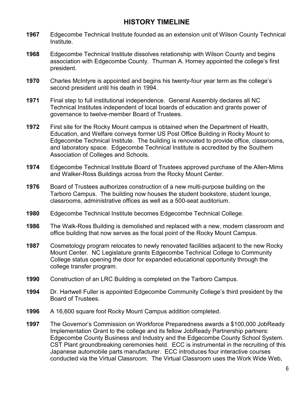# **HISTORY TIMELINE**

- **1967** Edgecombe Technical Institute founded as an extension unit of Wilson County Technical Institute.
- **1968** Edgecombe Technical Institute dissolves relationship with Wilson County and begins association with Edgecombe County. Thurman A. Horney appointed the college's first president.
- **1970** Charles McIntyre is appointed and begins his twenty-four year term as the college's second president until his death in 1994.
- **1971** Final step to full institutional independence. General Assembly declares all NC Technical Institutes independent of local boards of education and grants power of governance to twelve-member Board of Trustees.
- **1972** First site for the Rocky Mount campus is obtained when the Department of Health, Education, and Welfare conveys former US Post Office Building in Rocky Mount to Edgecombe Technical Institute. The building is renovated to provide office, classrooms, and laboratory space. Edgecombe Technical Institute is accredited by the Southern Association of Colleges and Schools.
- **1974** Edgecombe Technical Institute Board of Trustees approved purchase of the Allen-Mims and Walker-Ross Buildings across from the Rocky Mount Center.
- **1976** Board of Trustees authorizes construction of a new multi-purpose building on the Tarboro Campus. The building now houses the student bookstore, student lounge, classrooms, administrative offices as well as a 500-seat auditorium.
- **1980** Edgecombe Technical Institute becomes Edgecombe Technical College.
- **1986** The Walk-Ross Building is demolished and replaced with a new, modern classroom and office building that now serves as the focal point of the Rocky Mount Campus.
- **1987** Cosmetology program relocates to newly renovated facilities adjacent to the new Rocky Mount Center. NC Legislature grants Edgecombe Technical College to Community College status opening the door for expanded educational opportunity through the college transfer program.
- **1990** Construction of an LRC Building is completed on the Tarboro Campus.
- **1994** Dr. Hartwell Fuller is appointed Edgecombe Community College's third president by the Board of Trustees.
- **1996** A 16,600 square foot Rocky Mount Campus addition completed.
- **1997** The Governor's Commission on Workforce Preparedness awards a \$100,000 JobReady Implementation Grant to the college and its fellow JobReady Partnership partners: Edgecombe County Business and Industry and the Edgecombe County School System. CST Plant groundbreaking ceremonies held. ECC is instrumental in the recruiting of this Japanese automobile parts manufacturer. ECC introduces four interactive courses conducted via the Virtual Classroom. The Virtual Classroom uses the Work Wide Web,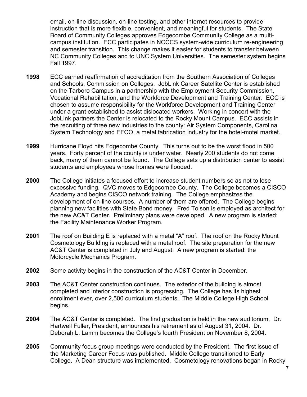email, on-line discussion, on-line testing, and other internet resources to provide instruction that is more flexible, convenient, and meaningful for students. The State Board of Community Colleges approves Edgecombe Community College as a multicampus institution. ECC participates in NCCCS system-wide curriculum re-engineering and semester transition. This change makes it easier for students to transfer between NC Community Colleges and to UNC System Universities. The semester system begins Fall 1997.

- **1998** ECC earned reaffirmation of accreditation from the Southern Association of Colleges and Schools, Commission on Colleges. JobLink Career Satellite Center is established on the Tarboro Campus in a partnership with the Employment Security Commission, Vocational Rehabilitation, and the Workforce Development and Training Center. ECC is chosen to assume responsibility for the Workforce Development and Training Center under a grant established to assist dislocated workers. Working in concert with the JobLink partners the Center is relocated to the Rocky Mount Campus. ECC assists in the recruiting of three new industries to the county: Air System Components, Carolina System Technology and EFCO, a metal fabrication industry for the hotel-motel market.
- **1999** Hurricane Floyd hits Edgecombe County. This turns out to be the worst flood in 500 years. Forty percent of the county is under water. Nearly 200 students do not come back, many of them cannot be found. The College sets up a distribution center to assist students and employees whose homes were flooded.
- **2000** The College initiates a focused effort to increase student numbers so as not to lose excessive funding. QVC moves to Edgecombe County. The College becomes a CISCO Academy and begins CISCO network training. The College emphasizes the development of on-line courses. A number of them are offered. The College begins planning new facilities with State Bond money. Fred Tolson is employed as architect for the new AC&T Center. Preliminary plans were developed. A new program is started: the Facility Maintenance Worker Program.
- **2001** The roof on Building E is replaced with a metal "A" roof. The roof on the Rocky Mount Cosmetology Building is replaced with a metal roof. The site preparation for the new AC&T Center is completed in July and August. A new program is started: the Motorcycle Mechanics Program.
- **2002** Some activity begins in the construction of the AC&T Center in December.
- **2003** The AC&T Center construction continues. The exterior of the building is almost completed and interior construction is progressing. The College has its highest enrollment ever, over 2,500 curriculum students. The Middle College High School begins.
- **2004** The AC&T Center is completed. The first graduation is held in the new auditorium. Dr. Hartwell Fuller, President, announces his retirement as of August 31, 2004. Dr. Deborah L. Lamm becomes the College's fourth President on November 8, 2004.
- **2005** Community focus group meetings were conducted by the President. The first issue of the Marketing Career Focus was published. Middle College transitioned to Early College. A Dean structure was implemented. Cosmetology renovations began in Rocky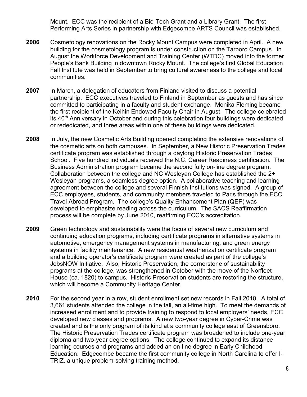Mount. ECC was the recipient of a Bio-Tech Grant and a Library Grant. The first Performing Arts Series in partnership with Edgecombe ARTS Council was established.

- **2006** Cosmetology renovations on the Rocky Mount Campus were completed in April. A new building for the cosmetology program is under construction on the Tarboro Campus. In August the Workforce Development and Training Center (WTDC) moved into the former People's Bank Building in downtown Rocky Mount. The college's first Global Education Fall Institute was held in September to bring cultural awareness to the college and local communities.
- **2007** In March, a delegation of educators from Finland visited to discuss a potential partnership. ECC executives traveled to Finland in September as guests and has since committed to participating in a faculty and student exchange. Monika Fleming became the first recipient of the Keihin Endowed Faculty Chair in August. The college celebrated its 40<sup>th</sup> Anniversary in October and during this celebration four buildings were dedicated or rededicated, and three areas within one of these buildings were dedicated.
- **2008** In July, the new Cosmetic Arts Building opened completing the extensive renovations of the cosmetic arts on both campuses. In September, a New Historic Preservation Trades certificate program was established through a daylong Historic Preservation Trades School. Five hundred individuals received the N.C. Career Readiness certification. The Business Administration program became the second fully on-line degree program. Collaboration between the college and NC Wesleyan College has established the 2+ Wesleyan programs, a seamless degree option. A collaborative teaching and learning agreement between the college and several Finnish Institutions was signed. A group of ECC employees, students, and community members traveled to Paris through the ECC Travel Abroad Program. The college's Quality Enhancement Plan (QEP) was developed to emphasize reading across the curriculum. The SACS Reaffirmation process will be complete by June 2010, reaffirming ECC's accreditation.
- **2009** Green technology and sustainability were the focus of several new curriculum and continuing education programs, including certificate programs in alternative systems in automotive, emergency management systems in manufacturing, and green energy systems in facility maintenance. A new residential weatherization certificate program and a building operator's certificate program were created as part of the college's JobsNOW Initiative. Also, Historic Preservation, the cornerstone of sustainability programs at the college, was strengthened in October with the move of the Norfleet House (ca. 1820) to campus. Historic Preservation students are restoring the structure, which will become a Community Heritage Center.
- **2010** For the second year in a row, student enrollment set new records in Fall 2010. A total of 3,661 students attended the college in the fall, an all-time high. To meet the demands of increased enrollment and to provide training to respond to local employers' needs, ECC developed new classes and programs. A new two-year degree in Cyber-Crime was created and is the only program of its kind at a community college east of Greensboro. The Historic Preservation Trades certificate program was broadened to include one-year diploma and two-year degree options. The college continued to expand its distance learning courses and programs and added an on-line degree in Early Childhood Education. Edgecombe became the first community college in North Carolina to offer I-TRIZ, a unique problem-solving training method.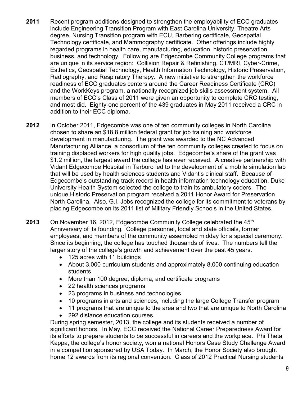- **2011** Recent program additions designed to strengthen the employability of ECC graduates include Engineering Transition Program with East Carolina University, Theatre Arts degree, Nursing Transition program with ECU, Barbering certificate, Geospatial Technology certificate, and Mammography certificate. Other offerings include highly regarded programs in health care, manufacturing, education, historic preservation, business, and technology. Following are Edgecombe Community College programs that are unique in its service region: Collision Repair & Refinishing, CT/MRI, Cyber-Crime, Esthetics, Geospatial Technology, Health Information Technology, Historic Preservation, Radiography, and Respiratory Therapy. A new initiative to strengthen the workforce readiness of ECC graduates centers around the Career Readiness Certificate (CRC) and the WorkKeys program, a nationally recognized job skills assessment system. All members of ECC's Class of 2011 were given an opportunity to complete CRC testing, and most did. Eighty-one percent of the 439 graduates in May 2011 received a CRC in addition to their ECC diploma.
- **2012** In October 2011, Edgecombe was one of ten community colleges in North Carolina chosen to share an \$18.8 million federal grant for job training and workforce development in manufacturing. The grant was awarded to the NC Advanced Manufacturing Alliance, a consortium of the ten community colleges created to focus on training displaced workers for high quality jobs. Edgecombe's share of the grant was \$1.2 million, the largest award the college has ever received. A creative partnership with Vidant Edgecombe Hospital in Tarboro led to the development of a mobile simulation lab that will be used by health sciences students and Vidant's clinical staff. Because of Edgecombe's outstanding track record in health information technology education, Duke University Health System selected the college to train its ambulatory coders. The unique Historic Preservation program received a 2011 Honor Award for Preservation North Carolina. Also, G.I. Jobs recognized the college for its commitment to veterans by placing Edgecombe on its 2011 list of Military Friendly Schools in the United States.
- **2013** On November 16, 2012, Edgecombe Community College celebrated the 45<sup>th</sup> Anniversary of its founding. College personnel, local and state officials, former employees, and members of the community assembled midday for a special ceremony. Since its beginning, the college has touched thousands of lives. The numbers tell the larger story of the college's growth and achievement over the past 45 years.
	- 125 acres with 11 buildings
	- About 3,000 curriculum students and approximately 8,000 continuing education students
	- More than 100 degree, diploma, and certificate programs
	- 22 health sciences programs
	- 23 programs in business and technologies
	- 10 programs in arts and sciences, including the large College Transfer program
	- 11 programs that are unique to the area and two that are unique to North Carolina
	- 292 distance education courses.

During spring semester, 2013, the college and its students received a number of significant honors. In May, ECC received the National Career Preparedness Award for its efforts to prepare students to be successful in careers and the workplace. Phi Theta Kappa, the college's honor society, won a national Honors Case Study Challenge Award in a competition sponsored by USA Today. In March, the Honor Society also brought home 12 awards from its regional convention. Class of 2012 Practical Nursing students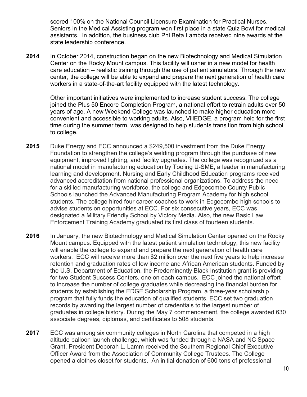scored 100% on the National Council Licensure Examination for Practical Nurses. Seniors in the Medical Assisting program won first place in a state Quiz Bowl for medical assistants. In addition, the business club Phi Beta Lambda received nine awards at the state leadership conference.

**2014** In October 2014, construction began on the new Biotechnology and Medical Simulation Center on the Rocky Mount campus. This facility will usher in a new model for health care education – realistic training through the use of patient simulators. Through the new center, the college will be able to expand and prepare the next generation of health care workers in a state-of-the-art facility equipped with the latest technology.

Other important initiatives were implemented to increase student success. The college joined the Plus 50 Encore Completion Program, a national effort to retrain adults over 50 years of age. A new Weekend College was launched to make higher education more convenient and accessible to working adults. Also, VillEDGE, a program held for the first time during the summer term, was designed to help students transition from high school to college.

- **2015** Duke Energy and ECC announced a \$249,500 investment from the Duke Energy Foundation to strengthen the college's welding program through the purchase of new equipment, improved lighting, and facility upgrades. The college was recognized as a national model in manufacturing education by Tooling U-SME, a leader in manufacturing learning and development. Nursing and Early Childhood Education programs received advanced accreditation from national professional organizations. To address the need for a skilled manufacturing workforce, the college and Edgecombe County Public Schools launched the Advanced Manufacturing Program Academy for high school students. The college hired four career coaches to work in Edgecombe high schools to advise students on opportunities at ECC. For six consecutive years, ECC was designated a Military Friendly School by Victory Media. Also, the new Basic Law Enforcement Training Academy graduated its first class of fourteen students.
- **2016** In January, the new Biotechnology and Medical Simulation Center opened on the Rocky Mount campus. Equipped with the latest patient simulation technology, this new facility will enable the college to expand and prepare the next generation of health care workers. ECC will receive more than \$2 million over the next five years to help increase retention and graduation rates of low income and African American students. Funded by the U.S. Department of Education, the Predominently Black Institution grant is providing for two Student Success Centers, one on each campus. ECC joined the national effort to increase the number of college graduates while decreasing the financial burden for students by establishing the EDGE Scholarship Program, a three-year scholarship program that fully funds the education of qualified students. ECC set two graduation records by awarding the largest number of credentials to the largest number of graduates in college history. During the May 7 commencement, the college awarded 630 associate degrees, diplomas, and certificates to 508 students.
- **2017** ECC was among six community colleges in North Carolina that competed in a high altitude balloon launch challenge, which was funded through a NASA and NC Space Grant. President Deborah L. Lamm received the Southern Regional Chief Executive Officer Award from the Association of Community College Trustees. The College opened a clothes closet for students. An initial donation of 600 tons of professional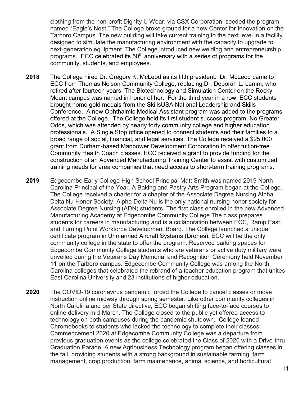clothing from the non-profit Dignity U Wear, via CSX Corporation, seeded the program named "Eagle's Nest." The College broke ground for a new Center for Innovation on the Tarboro Campus. The new building will take current training to the next level in a facility designed to simulate the manufacturing environment with the capacity to upgrade to next-generation equipment. The College introduced new welding and entrepreneurship programs. ECC celebrated its  $50<sup>th</sup>$  anniversary with a series of programs for the community, students, and employees.

- **2018** The College hired Dr. Gregory K. McLeod as its fifth president. Dr. McLeod came to ECC from Thomas Nelson Community College, replacing Dr. Deborah L. Lamm, who retired after fourteen years. The Biotechnology and Simulation Center on the Rocky Mount campus was named in honor of her. For the third year in a row, ECC students brought home gold medals from the SkillsUSA National Leadership and Skills Conference. A new Ophthalmic Medical Assistant program was added to the programs offered at the College. The College held its first student success program, No Greater Odds, which was attended by nearly forty community college and higher education professionals. A Single Stop office opened to connect students and their families to a broad range of social, financial, and legal services. The College received a \$25,000 grant from Durham-based Manpower Development Corporation to offer tuition-free Community Health Coach classes. ECC received a grant to provide funding for the construction of an Advanced Manufacturing Training Center to assist with customized training needs for area companies that need access to short-term training programs.
- **2019** Edgecombe Early College High School Principal Matt Smith was named 2019 North Carolina Principal of the Year. A Baking and Pastry Arts Program began at the College. The College received a charter for a chapter of the Associate Degree Nursing Alpha Delta Nu Honor Society. Alpha Delta Nu is the only national nursing honor society for Associate Degree Nursing (ADN) students. The first class enrolled in the new Advanced Manufacturing Academy at Edgecombe Community College The class prepares students for careers in manufacturing and is a collaboration between ECC, Ramp East, and Turning Point Workforce Development Board. The College launched a unique certificate program in [Unmanned Aircraft Systems \(Drones\).](https://www.edgecombe.edu/programs/business-industry-and-technologies/geospatial-technology/) ECC will be the only community college in the state to offer the program. Reserved parking spaces for Edgecombe Community College students who are veterans or active duty military were unveiled during the Veterans Day Memorial and Recognition Ceremony held November 11 on the Tarboro campus. Edgecombe Community College was among the North Carolina colleges that celebrated the rebrand of a teacher education program that unites East Carolina University and 23 institutions of higher education.
- **2020** The COVID-19 coronavirus pandemic forced the College to cancel classes or move instruction online midway through spring semester. Like other community colleges in North Carolina and per State directive, ECC began shifting face-to-face courses to online delivery mid-March. The College closed to the public yet offered access to technology on both campuses during the pandemic shutdown. College loaned Chromebooks to students who lacked the technology to complete their classes. Commencement 2020 at Edgecombe Community College was a departure from previous graduation events as the college celebrated the Class of 2020 with a Drive-thru Graduation Parade. A new Agribusiness Technology program began offering classes in the fall. providing students with a strong background in sustainable farming, farm management, crop production, farm maintenance, animal science, and horticultural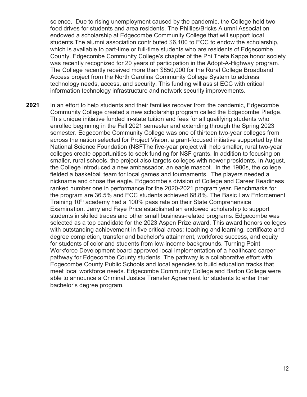science. Due to rising unemployment caused by the pandemic, the College held two food drives for students and area residents. The Phillips/Bricks Alumni Association endowed a scholarship at Edgecombe Community College that will support local students.The alumni association contributed \$6,100 to ECC to endow the scholarship, which is available to part-time or full-time students who are residents of Edgecombe County. Edgecombe Community College's chapter of the Phi Theta Kappa honor society was recently recognized for 20 years of participation in the Adopt-A-Highway program. The College recently received more than \$850,000 for the Rural College Broadband Access project from the North Carolina Community College System to address technology needs, access, and security. This funding will assist ECC with critical information technology infrastructure and network security improvements.

**2021** In an effort to help students and their families recover from the pandemic, Edgecombe Community College created a new scholarship program called the Edgecombe Pledge. This unique initiative funded in-state tuition and fees for all qualifying students who enrolled beginning in the Fall 2021 semester and extending through the Spring 2023 semester. Edgecombe Community College was one of thirteen two-year colleges from across the nation selected for Project Vision, a grant-focused initiative supported by the National Science Foundation (NSFThe five-year project will help smaller, rural two-year colleges create opportunities to seek funding for NSF grants. In addition to focusing on smaller, rural schools, the project also targets colleges with newer presidents. In August, the College introduced a new ambassador, an eagle mascot. In the 1980s, the college fielded a basketball team for local games and tournaments. The players needed a nickname and chose the eagle. Edgecombe's division of College and Career Readiness ranked number one in performance for the 2020-2021 program year. Benchmarks for the program are 36.5% and ECC students achieved 68.8%. The Basic Law Enforcement Training 10th academy had a 100% pass rate on their State Comprehensice Examination. Jerry and Faye Price established an endowed scholarship to support students in skilled trades and other small business-related programs. Edgecombe was selected as a top candidate for the 2023 Aspen Prize award. This award honors colleges with outstanding achievement in five critical areas: teaching and learning, certificate and degree completion, transfer and bachelor's attainment, workforce success, and equity for students of color and students from low-income backgrounds. Turning Point Workforce Development board approved local implementation of a healthcare career pathway for Edgecombe County students. The pathway is a collaborative effort with Edgecombe County Public Schools and local agencies to build education tracks that meet local workforce needs. Edgecombe Community College and Barton College were able to announce a Criminal Justice Transfer Agreement for students to enter their bachelor's degree program.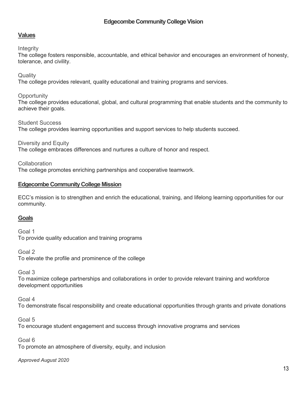# **Edgecombe Community College Vision**

# **Values**

#### **Integrity**

The college fosters responsible, accountable, and ethical behavior and encourages an environment of honesty, tolerance, and civility.

#### **Quality**

The college provides relevant, quality educational and training programs and services.

#### **Opportunity**

The college provides educational, global, and cultural programming that enable students and the community to achieve their goals.

Student Success

The college provides learning opportunities and support services to help students succeed.

Diversity and Equity

The college embraces differences and nurtures a culture of honor and respect.

**Collaboration** 

The college promotes enriching partnerships and cooperative teamwork.

#### **Edgecombe Community College Mission**

ECC's mission is to strengthen and enrich the educational, training, and lifelong learning opportunities for our community.

#### **Goals**

Goal 1 To provide quality education and training programs

Goal 2 To elevate the profile and prominence of the college

Goal 3

To maximize college partnerships and collaborations in order to provide relevant training and workforce development opportunities

Goal 4

To demonstrate fiscal responsibility and create educational opportunities through grants and private donations

Goal 5

To encourage student engagement and success through innovative programs and services

Goal 6

To promote an atmosphere of diversity, equity, and inclusion

*Approved August 2020*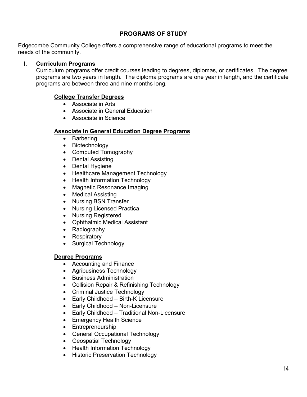# **PROGRAMS OF STUDY**

Edgecombe Community College offers a comprehensive range of educational programs to meet the needs of the community.

## I. **Curriculum Programs**

Curriculum programs offer credit courses leading to degrees, diplomas, or certificates. The degree programs are two years in length. The diploma programs are one year in length, and the certificate programs are between three and nine months long.

# **College Transfer Degrees**

- Associate in Arts
- Associate in General Education
- Associate in Science

## **Associate in General Education Degree Programs**

- Barbering
- Biotechnology
- Computed Tomography
- Dental Assisting
- Dental Hygiene
- Healthcare Management Technology
- Health Information Technology
- Magnetic Resonance Imaging
- Medical Assisting
- Nursing BSN Transfer
- Nursing Licensed Practica
- Nursing Registered
- Ophthalmic Medical Assistant
- Radiography
- Respiratory
- Surgical Technology

#### **Degree Programs**

- Accounting and Finance
- Agribusiness Technology
- Business Administration
- Collision Repair & Refinishing Technology
- Criminal Justice Technology
- Early Childhood Birth-K Licensure
- Early Childhood Non-Licensure
- Early Childhood Traditional Non-Licensure
- Emergency Health Science
- Entrepreneurship
- General Occupational Technology
- Geospatial Technology
- Health Information Technology
- Historic Preservation Technology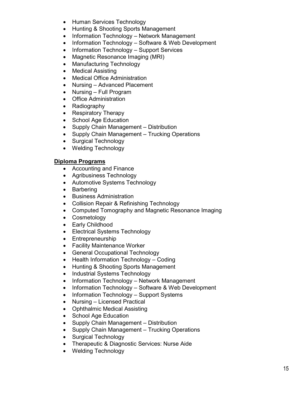- Human Services Technology
- Hunting & Shooting Sports Management
- Information Technology Network Management
- Information Technology Software & Web Development
- Information Technology Support Services
- Magnetic Resonance Imaging (MRI)
- Manufacturing Technology
- Medical Assisting
- Medical Office Administration
- Nursing Advanced Placement
- Nursing Full Program
- Office Administration
- Radiography
- Respiratory Therapy
- School Age Education
- Supply Chain Management Distribution
- Supply Chain Management Trucking Operations
- Surgical Technology
- Welding Technology

# **Diploma Programs**

- Accounting and Finance
- Agribusiness Technology
- Automotive Systems Technology
- Barbering
- Business Administration
- Collision Repair & Refinishing Technology
- Computed Tomography and Magnetic Resonance Imaging
- Cosmetology
- Early Childhood
- Electrical Systems Technology
- Entrepreneurship
- Facility Maintenance Worker
- General Occupational Technology
- Health Information Technology Coding
- Hunting & Shooting Sports Management
- Industrial Systems Technology
- Information Technology Network Management
- Information Technology Software & Web Development
- Information Technology Support Systems
- Nursing Licensed Practical
- Ophthalmic Medical Assisting
- School Age Education
- Supply Chain Management Distribution
- Supply Chain Management Trucking Operations
- Surgical Technology
- Therapeutic & Diagnostic Services: Nurse Aide
- Welding Technology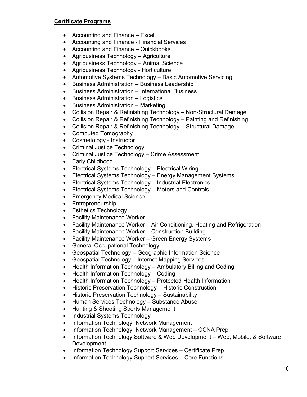# **Certificate Programs**

- Accounting and Finance Excel
- Accounting and Finance Financial Services
- Accounting and Finance Quickbooks
- Agribusiness Technology Agriculture
- Agribusiness Technology Animal Science
- Agribusiness Technology Horticulture
- Automotive Systems Technology Basic Automotive Servicing
- Business Administration Business Leadership
- Business Administration International Business
- Business Administration Logistics
- Business Administration Marketing
- Collision Repair & Refinishing Technology Non-Structural Damage
- Collision Repair & Refinishing Technology Painting and Refinishing
- Collision Repair & Refinishing Technology Structural Damage
- Computed Tomography
- Cosmetology Instructor
- Criminal Justice Technology
- Criminal Justice Technology Crime Assessment
- Early Childhood
- Electrical Systems Technology Electrical Wiring
- Electrical Systems Technology Energy Management Systems
- Electrical Systems Technology Industrial Electronics
- Electrical Systems Technology Motors and Controls
- Emergency Medical Science
- Entrepreneurship
- Esthetics Technology
- Facility Maintenance Worker
- Facility Maintenance Worker Air Conditioning, Heating and Refrigeration
- Facility Maintenance Worker Construction Building
- Facility Maintenance Worker Green Energy Systems
- General Occupational Technology
- Geospatial Technology Geographic Information Science
- Geospatial Technology Internet Mapping Services
- Health Information Technology Ambulatory Billing and Coding
- Health Information Technology Coding
- Health Information Technology Protected Health Information
- Historic Preservation Technology Historic Construction
- Historic Preservation Technology Sustainability
- Human Services Technology Substance Abuse
- Hunting & Shooting Sports Management
- Industrial Systems Technology
- Information Technology Network Management
- Information Technology Network Management CCNA Prep
- Information Technology Software & Web Development Web, Mobile, & Software Development
- Information Technology Support Services Certificate Prep
- Information Technology Support Services Core Functions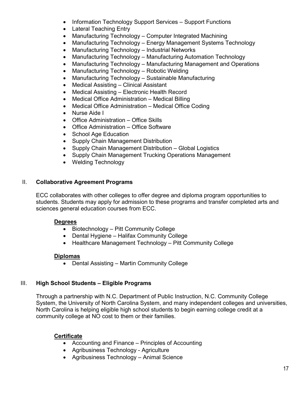- Information Technology Support Services Support Functions
- Lateral Teaching Entry
- Manufacturing Technology Computer Integrated Machining
- Manufacturing Technology Energy Management Systems Technology
- Manufacturing Technology Industrial Networks
- Manufacturing Technology Manufacturing Automation Technology
- Manufacturing Technology Manufacturing Management and Operations
- Manufacturing Technology Robotic Welding
- Manufacturing Technology Sustainable Manufacturing
- Medical Assisting Clinical Assistant
- Medical Assisting Electronic Health Record
- Medical Office Administration Medical Billing
- Medical Office Administration Medical Office Coding
- Nurse Aide I
- Office Administration Office Skills
- Office Administration Office Software
- School Age Education
- Supply Chain Management Distribution
- Supply Chain Management Distribution Global Logistics
- Supply Chain Management Trucking Operations Management
- Welding Technology

# II. **Collaborative Agreement Programs**

ECC collaborates with other colleges to offer degree and diploma program opportunities to students. Students may apply for admission to these programs and transfer completed arts and sciences general education courses from ECC.

# **Degrees**

- Biotechnology Pitt Community College
- Dental Hygiene Halifax Community College
- Healthcare Management Technology Pitt Community College

# **Diplomas**

• Dental Assisting – Martin Community College

# III. **High School Students – Eligible Programs**

Through a partnership with N.C. Department of Public Instruction, N.C. Community College System, the University of North Carolina System, and many independent colleges and universities, North Carolina is helping eligible high school students to begin earning college credit at a community college at NO cost to them or their families.

# **Certificate**

- Accounting and Finance Principles of Accounting
- Agribusiness Technology Agriculture
- Agribusiness Technology Animal Science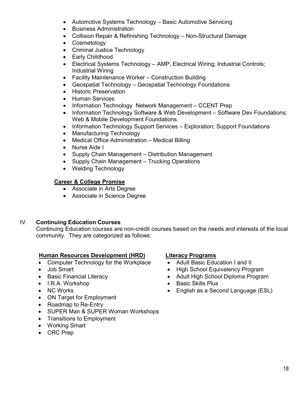- Automotive Systems Technology Basic Automotive Servicing
- Business Administration
- Collision Repair & Refinishing Technology Non-Structural Damage
- Cosmetology
- Criminal Justice Technology
- Early Childhood
- Electrical Systems Technology AMP, Electrical Wiring; Industrial Controls; Industrial Wiring
- Facility Maintenance Worker Construction Building
- Geospatial Technology Geospatial Technology Foundations
- Historic Preservation
- Human Services
- Information Technology Network Management CCENT Prep
- Information Technology Software & Web Development Software Dev Foundations; Web & Mobile Development Foundations
- Information Technology Support Services Exploration; Support Foundations
- Manufacturing Technology
- Medical Office Administration Medical Billing
- Nurse Aide I
- Supply Chain Management Distribution Management
- Supply Chain Management Trucking Operations
- Welding Technology

# **Career & College Promise**

- Associate in Arts Degree
- Associate in Science Degree

# IV. **Continuing Education Courses**

Continuing Education courses are non-credit courses based on the needs and interests of the local community. They are categorized as follows:

# **Human Resources Development (HRD) Literacy Programs**

- Computer Technology for the Workplace
- Job Smart
- Basic Financial Literacy
- I.R.A. Workshop
- NC Works
- ON Target for Employment
- Roadmap to Re-Entry
- SUPER Man & SUPER Woman Workshops
- Transitions to Employment
- Working Smart
- CRC Prep

- Adult Basic Education I and II
- High School Equivalency Program
- Adult High School Diploma Program
- Basic Skills Plus
- English as a Second Language (ESL)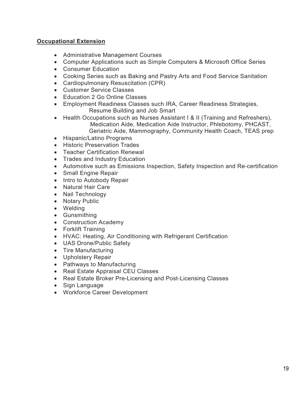# **Occupational Extension**

- Administrative Management Courses
- Computer Applications such as Simple Computers & Microsoft Office Series
- Consumer Education
- Cooking Series such as Baking and Pastry Arts and Food Service Sanitation
- Cardiopulmonary Resuscitation (CPR)
- Customer Service Classes
- Education 2 Go Online Classes
- Employment Readiness Classes such IRA, Career Readiness Strategies, Resume Building and Job Smart
- Health Occupations such as Nurses Assistant I & II (Training and Refreshers), Medication Aide, Medication Aide Instructor, Phlebotomy, PHCAST, Geriatric Aide, Mammography, Community Health Coach, TEAS prep
- Hispanic/Latino Programs
- Historic Preservation Trades
- Teacher Certification Renewal
- Trades and Industry Education
- Automotive such as Emissions Inspection, Safety Inspection and Re-certification
- Small Engine Repair
- Intro to Autobody Repair
- Natural Hair Care
- Nail Technology
- Notary Public
- Welding
- Gunsmithing
- Construction Academy
- Forklift Training
- HVAC: Heating, Air Conditioning with Refrigerant Certification
- UAS Drone/Public Safety
- Tire Manufacturing
- Upholstery Repair
- Pathways to Manufacturing
- Real Estate Appraisal CEU Classes
- Real Estate Broker Pre-Licensing and Post-Licensing Classes
- Sign Language
- Workforce Career Development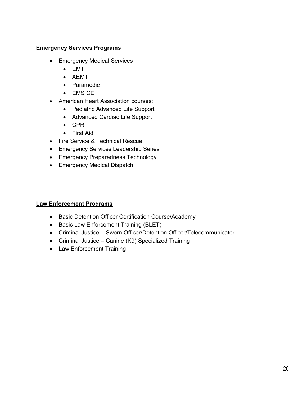# **Emergency Services Programs**

- Emergency Medical Services
	- EMT
	- AEMT
	- Paramedic
	- EMS CE
- American Heart Association courses:
	- Pediatric Advanced Life Support
	- Advanced Cardiac Life Support
	- CPR
	- First Aid
- Fire Service & Technical Rescue
- Emergency Services Leadership Series
- Emergency Preparedness Technology
- Emergency Medical Dispatch

# **Law Enforcement Programs**

- Basic Detention Officer Certification Course/Academy
- Basic Law Enforcement Training (BLET)
- Criminal Justice Sworn Officer/Detention Officer/Telecommunicator
- Criminal Justice Canine (K9) Specialized Training
- Law Enforcement Training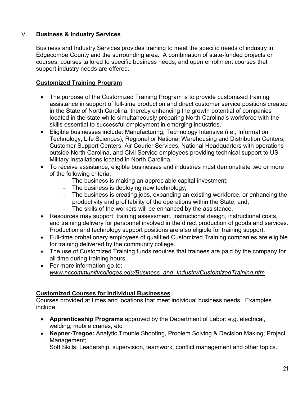# V. **Business & Industry Services**

Business and Industry Services provides training to meet the specific needs of industry in Edgecombe County and the surrounding area. A combination of state-funded projects or courses, courses tailored to specific business needs, and open enrollment courses that support industry needs are offered.

# **Customized Training Program**

- The purpose of the Customized Training Program is to provide customized training assistance in support of full-time production and direct customer service positions created in the State of North Carolina, thereby enhancing the growth potential of companies located in the state while simultaneously preparing North Carolina's workforce with the skills essential to successful employment in emerging industries.
- Eligible businesses include: Manufacturing, Technology Intensive (i.e., Information Technology, Life Sciences), Regional or National Warehousing and Distribution Centers, Customer Support Centers, Air Courier Services, National Headquarters with operations outside North Carolina, and Civil Service employees providing technical support to US Military Installations located in North Carolina.
- To receive assistance, eligible businesses and industries must demonstrate two or more of the following criteria:
	- ‐ The business is making an appreciable capital investment;
	- ‐ The business is deploying new technology;
	- ‐ The business is creating jobs, expanding an existing workforce, or enhancing the productivity and profitability of the operations within the State; and,
	- The skills of the workers will be enhanced by the assistance.
- Resources may support: training assessment, instructional design, instructional costs, and training delivery for personnel involved in the direct production of goods and services. Production and technology support positions are also eligible for training support.
- Full-time probationary employees of qualified Customized Training companies are eligible for training delivered by the community college.
- The use of Customized Training funds requires that trainees are paid by the company for all time during training hours.
- For more information go to: *[www.nccommunitycolleges.edu/Business\\_and\\_Industry/CustomizedTraining.htm](http://www.nccommunitycolleges.edu/Business_and_Industry/CustomizedTraining.htm)*

# **Customized Courses for Individual Businesses**

Courses provided at times and locations that meet individual business needs. Examples include:

- **Apprenticeship Programs** approved by the Department of Labor: e.g. electrical, welding, mobile cranes, etc.
- **Kepner-Tregoe:** Analytic Trouble Shooting, Problem Solving & Decision Making; Project Management;

Soft Skills: Leadership, supervision, teamwork, conflict management and other topics.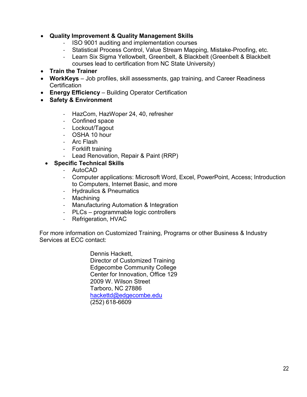# • **Quality Improvement & Quality Management Skills**

- ‐ ISO 9001 auditing and implementation courses
- ‐ Statistical Process Control, Value Stream Mapping, Mistake-Proofing, etc.
- ‐ Learn Six Sigma Yellowbelt, Greenbelt, & Blackbelt (Greenbelt & Blackbelt courses lead to certification from NC State University)

# • **Train the Trainer**

- **WorkKeys** Job profiles, skill assessments, gap training, and Career Readiness **Certification**
- **Energy Efficiency**  Building Operator Certification
- **Safety & Environment**
	- ‐ HazCom, HazWoper 24, 40, refresher
	- ‐ Confined space
	- ‐ Lockout/Tagout
	- ‐ OSHA 10 hour
	- ‐ Arc Flash
	- ‐ Forklift training
	- ‐ Lead Renovation, Repair & Paint (RRP)
	- **Specific Technical Skills**
		- ‐ AutoCAD
		- ‐ Computer applications: Microsoft Word, Excel, PowerPoint, Access; Introduction to Computers, Internet Basic, and more
		- ‐ Hydraulics & Pneumatics
		- ‐ Machining
		- ‐ Manufacturing Automation & Integration
		- ‐ PLCs programmable logic controllers
		- ‐ Refrigeration, HVAC

 For more information on Customized Training, Programs or other Business & Industry Services at ECC contact:

> Dennis Hackett, Director of Customized Training Edgecombe Community College Center for Innovation, Office 129 2009 W. Wilson Street Tarboro, NC 27886 [hackettd@edgecombe.edu](mailto:hackettd@edgecombe.edu) (252) 618-6609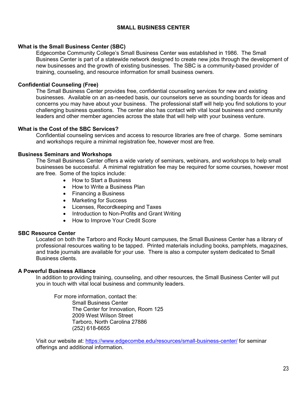# **SMALL BUSINESS CENTER**

#### **What is the Small Business Center (SBC)**

Edgecombe Community College's Small Business Center was established in 1986. The Small Business Center is part of a statewide network designed to create new jobs through the development of new businesses and the growth of existing businesses. The SBC is a community-based provider of training, counseling, and resource information for small business owners.

#### **Confidential Counseling (Free)**

The Small Business Center provides free, confidential counseling services for new and existing businesses. Available on an as-needed basis, our counselors serve as sounding boards for ideas and concerns you may have about your business. The professional staff will help you find solutions to your challenging business questions. The center also has contact with vital local business and community leaders and other member agencies across the state that will help with your business venture.

#### **What is the Cost of the SBC Services?**

Confidential counseling services and access to resource libraries are free of charge. Some seminars and workshops require a minimal registration fee, however most are free.

#### **Business Seminars and Workshops**

The Small Business Center offers a wide variety of seminars, webinars, and workshops to help small businesses be successful. A minimal registration fee may be required for some courses, however most are free. Some of the topics include:

- How to Start a Business
- How to Write a Business Plan
- Financing a Business
- Marketing for Success
- Licenses, Recordkeeping and Taxes
- Introduction to Non-Profits and Grant Writing
- How to Improve Your Credit Score

#### **SBC Resource Center**

Located on both the Tarboro and Rocky Mount campuses, the Small Business Center has a library of professional resources waiting to be tapped. Printed materials including books, pamphlets, magazines, and trade journals are available for your use. There is also a computer system dedicated to Small Business clients.

#### **A Powerful Business Alliance**

In addition to providing training, counseling, and other resources, the Small Business Center will put you in touch with vital local business and community leaders.

For more information, contact the: Small Business Center The Center for Innovation, Room 125 2009 West Wilson Street Tarboro, North Carolina 27886 (252) 618-6655

Visit our website at:<https://www.edgecombe.edu/resources/small-business-center/> for seminar offerings and additional information.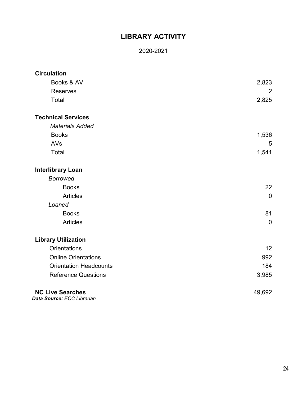# **LIBRARY ACTIVITY**

# 2020-2021

| <b>Circulation</b>            |                |
|-------------------------------|----------------|
| Books & AV                    | 2,823          |
| <b>Reserves</b>               | $\overline{2}$ |
| Total                         | 2,825          |
| <b>Technical Services</b>     |                |
| <b>Materials Added</b>        |                |
| <b>Books</b>                  | 1,536          |
| AVs                           | 5              |
| Total                         | 1,541          |
| <b>Interlibrary Loan</b>      |                |
| <b>Borrowed</b>               |                |
| <b>Books</b>                  | 22             |
| <b>Articles</b>               | $\overline{0}$ |
| Loaned                        |                |
| <b>Books</b>                  | 81             |
| <b>Articles</b>               | $\overline{0}$ |
| <b>Library Utilization</b>    |                |
| <b>Orientations</b>           | 12             |
| <b>Online Orientations</b>    | 992            |
| <b>Orientation Headcounts</b> | 184            |
| <b>Reference Questions</b>    | 3,985          |
| <b>NC Live Searches</b>       | 49,692         |

**Data Source: ECC Librarian**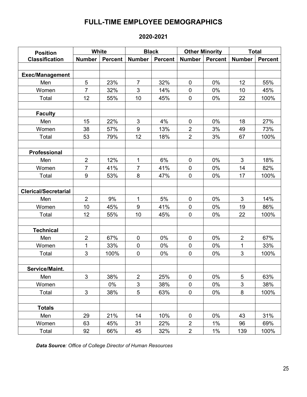# **FULL-TIME EMPLOYEE DEMOGRAPHICS**

# **2020-2021**

| <b>Position</b>             | White          |                | <b>Black</b>   |                | <b>Other Minority</b><br><b>Number</b><br>Percent |       | <b>Total</b>   |                |
|-----------------------------|----------------|----------------|----------------|----------------|---------------------------------------------------|-------|----------------|----------------|
| <b>Classification</b>       | <b>Number</b>  | <b>Percent</b> | <b>Number</b>  | <b>Percent</b> |                                                   |       | <b>Number</b>  | <b>Percent</b> |
|                             |                |                |                |                |                                                   |       |                |                |
| <b>Exec/Management</b>      |                |                |                |                |                                                   |       |                |                |
| Men                         | 5              | 23%            | $\overline{7}$ | 32%            | $\mathbf 0$                                       | 0%    | 12             | 55%            |
| Women                       | $\overline{7}$ | 32%            | 3              | 14%            | $\mathbf 0$                                       | 0%    | 10             | 45%            |
| Total                       | 12             | 55%            | 10             | 45%            | $\pmb{0}$                                         | $0\%$ | 22             | 100%           |
|                             |                |                |                |                |                                                   |       |                |                |
| <b>Faculty</b>              |                |                |                |                |                                                   |       |                |                |
| Men                         | 15             | 22%            | 3              | 4%             | $\pmb{0}$                                         | 0%    | 18             | 27%            |
| Women                       | 38             | 57%            | 9              | 13%            | $\overline{2}$                                    | 3%    | 49             | 73%            |
| Total                       | 53             | 79%            | 12             | 18%            | $\overline{2}$                                    | 3%    | 67             | 100%           |
|                             |                |                |                |                |                                                   |       |                |                |
| <b>Professional</b>         |                |                |                |                |                                                   |       |                |                |
| Men                         | $\overline{2}$ | 12%            | 1              | 6%             | $\mathbf 0$                                       | $0\%$ | 3              | 18%            |
| Women                       | $\overline{7}$ | 41%            | $\overline{7}$ | 41%            | $\mathbf 0$                                       | 0%    | 14             | 82%            |
| Total                       | 9              | 53%            | 8              | 47%            | $\mathbf 0$                                       | $0\%$ | 17             | 100%           |
|                             |                |                |                |                |                                                   |       |                |                |
| <b>Clerical/Secretarial</b> |                |                |                |                |                                                   |       |                |                |
| Men                         | $\overline{2}$ | 9%             | 1              | 5%             | $\mathbf 0$                                       | 0%    | $\mathfrak{S}$ | 14%            |
| Women                       | 10             | 45%            | 9              | 41%            | $\mathbf 0$                                       | 0%    | 19             | 86%            |
| Total                       | 12             | 55%            | 10             | 45%            | $\mathbf 0$                                       | 0%    | 22             | 100%           |
|                             |                |                |                |                |                                                   |       |                |                |
| <b>Technical</b>            |                |                |                |                |                                                   |       |                |                |
| Men                         | $\overline{2}$ | 67%            | 0              | 0%             | $\mathbf 0$                                       | $0\%$ | $\overline{2}$ | 67%            |
| Women                       | $\overline{1}$ | 33%            | $\pmb{0}$      | 0%             | $\pmb{0}$                                         | 0%    | 1              | 33%            |
| Total                       | 3              | 100%           | $\pmb{0}$      | 0%             | $\mathbf 0$                                       | $0\%$ | 3              | 100%           |
|                             |                |                |                |                |                                                   |       |                |                |
| Service/Maint.              |                |                |                |                |                                                   |       |                |                |
| Men                         | 3              | 38%            | $\overline{2}$ | 25%            | $\pmb{0}$                                         | 0%    | $\overline{5}$ | 63%            |
| Women                       |                | 0%             | 3              | 38%            | $\pmb{0}$                                         | 0%    | 3              | 38%            |
| Total                       | $\mathfrak{S}$ | 38%            | 5              | 63%            | $\pmb{0}$                                         | $0\%$ | $\bf 8$        | 100%           |
|                             |                |                |                |                |                                                   |       |                |                |
| <b>Totals</b>               |                |                |                |                |                                                   |       |                |                |
| Men                         | 29             | 21%            | 14             | 10%            | $\mathbf 0$                                       | 0%    | 43             | 31%            |
| Women                       | 63             | 45%            | 31             | 22%            | $\overline{2}$                                    | $1\%$ | 96             | 69%            |
| Total                       | 92             | 66%            | 45             | 32%            | $\overline{2}$                                    | $1\%$ | 139            | 100%           |

*Data Source: Office of College Director of Human Resources*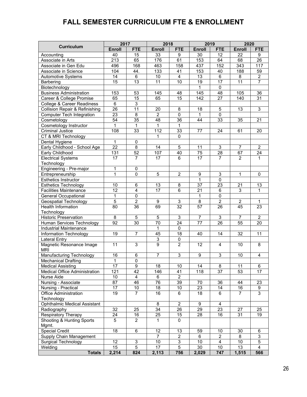# **FALL SEMESTER CURRICULUM FTE & ENROLLMENT**

|                                           | 2017            |                 | 2018            |                           |                  | 2019                      | 2020             |                  |
|-------------------------------------------|-----------------|-----------------|-----------------|---------------------------|------------------|---------------------------|------------------|------------------|
| <b>Curriculum</b>                         | <b>Enroll</b>   | <b>FTE</b>      | <b>Enroll</b>   | <b>FTE</b>                | <b>Enroll</b>    | <b>FTE</b>                | Enroll           | <b>FTE</b>       |
| Accounting                                | 40              | 15              | 33              | 9                         | 30               | $\overline{12}$           | 22               | 9                |
| Associate in Arts                         | 213             | 65              | 176             | 61                        | 153              | 64                        | 68               | 26               |
| Associate in Gen Edu                      | 496             | 168             | 463             | 158                       | 437              | 152                       | $\overline{343}$ | 117              |
| Associate in Science                      | 104             | 44.             | 133             | 41                        | 153              | 40                        | 188              | 59               |
| <b>Automotive Systems</b>                 | 14              | 6               | 10              | $\overline{\mathbf{4}}$   | 13               | $\,6\,$                   | 8                | $\overline{c}$   |
| Barbering                                 | $\overline{15}$ | $\overline{13}$ | $\overline{11}$ | 10                        | 19               | $\overline{17}$           | $\overline{11}$  | $\overline{7}$   |
| Biotechnology                             |                 |                 |                 |                           | $\mathbf{1}$     | $\mathbf 0$               |                  |                  |
| <b>Business Administration</b>            | 153             | 53              | 145             | 48                        | 145              | 48                        | 105              | 36               |
| Career & College Promise                  | 65              | 15              | 65              | 15                        | 142              | 27                        | 140              | 31               |
| College & Career Readiness                | 6               | 3               |                 |                           |                  |                           |                  |                  |
| <b>Collision Repair &amp; Refinishing</b> | $\overline{26}$ | $\overline{11}$ | 20              | 8                         | 18               | 5                         | 13               | 3                |
| <b>Computer Tech Integration</b>          | $\overline{23}$ | $\overline{8}$  | $\overline{2}$  | $\overline{0}$            | 1                | $\overline{0}$            |                  |                  |
| Cosmetology                               | $\overline{54}$ | $\overline{35}$ | $\overline{48}$ | $\overline{36}$           | 44               | 33                        | 35               | 21               |
| Cosmetology Instructor                    | 1               | $\mathbf{1}$    | 1               | $\mathbf{1}$              |                  |                           |                  |                  |
| <b>Criminal Justice</b>                   | 108             | 33              | 112             | 33                        | 77               | 24                        | 61               | 20               |
| CT & MRI Technology                       |                 |                 | 1               | $\pmb{0}$                 |                  |                           |                  |                  |
| Dental Hygiene                            | 1               | 0               |                 |                           |                  |                           |                  |                  |
| Early Childhood - School Age              | $\overline{22}$ | $\overline{8}$  | 14              | $\overline{5}$            | 11               | 3                         | $\overline{7}$   | $\overline{2}$   |
| Early Childhood                           | 131             | $\overline{52}$ | 107             | 40                        | 75               | 28                        | 67               | 24               |
| <b>Electrical Systems</b>                 | 17              | 7               | 17              | 6                         | $\overline{17}$  | 7                         | $\overline{2}$   | $\mathbf 1$      |
| Technology                                |                 |                 |                 |                           |                  |                           |                  |                  |
| Engineering - Pre-major                   | 1               | $\pmb{0}$       |                 |                           |                  |                           |                  |                  |
| Entrepreneurship                          | 1               | $\Omega$        | 5               | $\overline{2}$            | 9                | 3                         | $\mathbf{1}$     | 0                |
| <b>Esthetics Instructor</b>               |                 |                 |                 |                           | 1                | 0                         |                  |                  |
| <b>Esthetics Technology</b>               | 10              | 6               | 13              | 8                         | 37               | 23                        | 21               | 13               |
| <b>Facilities Maintenance</b>             | $\overline{12}$ | $\overline{4}$  | $\overline{17}$ | $\overline{6}$            | $\overline{21}$  | $\overline{6}$            | 3                | 1                |
| <b>General Occupational</b>               | $\mathbf{1}$    | $\mathbf 0$     |                 |                           | $\mathbf{1}$     | $\overline{0}$            |                  |                  |
| <b>Geospatial Technology</b>              | $\overline{5}$  | $\overline{2}$  | 9               | 3                         | $\overline{8}$   | $\overline{2}$            | $\overline{2}$   | $\mathbf 1$      |
| <b>Health Information</b>                 | 80              | 36              | 69              | $\overline{32}$           | $\overline{57}$  | 26                        | 45               | 23               |
| Technology                                |                 |                 |                 |                           |                  |                           |                  |                  |
| <b>Historic Preservation</b>              | 8               | 5               | $\mathbf 5$     | $\ensuremath{\mathsf{3}}$ | $\overline{7}$   | $\ensuremath{\mathsf{3}}$ | $\overline{7}$   | $\boldsymbol{2}$ |
| Human Services Technology                 | $\overline{92}$ | 30              | 70              | 24                        | 77               | $\overline{26}$           | 55               | 20               |
| <b>Industrial Maintenance</b>             |                 |                 | $\mathbf{1}$    | $\mathbf 0$               |                  |                           |                  |                  |
| <b>Information Technology</b>             | 19              | $\overline{7}$  | $\overline{45}$ | $\overline{18}$           | 40               | 14                        | $\overline{32}$  | 11               |
| <b>Lateral Entry</b>                      |                 |                 | 3               | 0                         |                  |                           |                  |                  |
| Magnetic Resonance Image                  | 11              | 3               | $\overline{9}$  | $\overline{2}$            | 12               | $\overline{4}$            | 10               | 8                |
| <b>MRI</b>                                |                 |                 |                 |                           |                  |                           |                  |                  |
| Manufacturing Technology                  | 16              | 6               | $\overline{7}$  | $\mathsf 3$               | $\boldsymbol{9}$ | 3                         | 10               | $\overline{4}$   |
| <b>Mechanical Drafting</b>                | 1               | 0               |                 |                           |                  |                           |                  |                  |
| Medical Assisting                         | 17              | 9               | 18              | 10                        | 14               | 8                         | 11               | 6                |
| Medical Office Administration             | 121             | $\overline{42}$ | 146             | 41                        | 118              | $\overline{37}$           | 53               | 17               |
| Nurse Aide                                | 10              | 4               | 6               | $\overline{2}$            |                  |                           |                  |                  |
| Nursing - Associate                       | 87              | 46              | 76              | 39                        | 70               | 36                        | 44               | 23               |
| Nursing - Practical                       | 17              | $10\,$          | 18              | $10$                      | 23               | 14                        | 16               | 9                |
| Office Administration                     | 19              | 7               | 16              | 6                         | 18               | 6                         | 7                | 3                |
| Technology                                |                 |                 |                 |                           |                  |                           |                  |                  |
| Ophthalmic Medical Assistant              |                 |                 | 8               | $\overline{2}$            | 9                | 4                         |                  |                  |
| Radiography                               | 32              | 25              | 34              | 26                        | 29               | 23                        | 27               | 25               |
| Respiratory Therapy                       | 24              | 16              | 25              | 15                        | 28               | 16                        | 31               | 19               |
| Shooting & Hunting Sports                 | 5               | $\overline{2}$  | 1               | 0                         |                  |                           |                  |                  |
| Mgmt.                                     |                 |                 |                 |                           |                  |                           |                  |                  |
| <b>Special Credit</b>                     | 18              | 6               | 12              | 13                        | 59               | 10                        | 30               | 6                |
| Supply Chain Management                   |                 |                 | $\overline{7}$  | $\overline{2}$            | 6                | $\overline{2}$            | 8                | $\overline{3}$   |
| <b>Surgical Technology</b>                | 12              | 3               | 10              | $\ensuremath{\mathsf{3}}$ | 10               | $\overline{4}$            | 10               | 5                |
| Welding                                   | $\overline{15}$ | $\overline{5}$  | 17              | $\overline{5}$            | 30               | 10                        | 13               | $\overline{4}$   |
| <b>Totals</b>                             | 2,214           | 824             | 2,113           | 756                       | 2,029            | 747                       | 1,515            | 566              |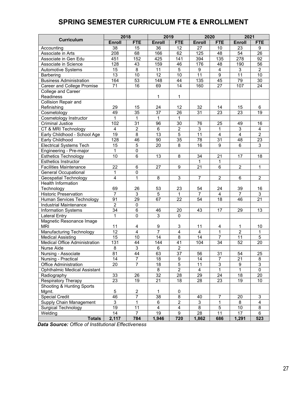# **SPRING SEMESTER CURRICULUM FTE & ENROLLMENT**

|                                      | 2018<br>2019<br>2020 |                 |                  |                         | 2021            |                 |                  |                 |
|--------------------------------------|----------------------|-----------------|------------------|-------------------------|-----------------|-----------------|------------------|-----------------|
| <b>Curriculum</b>                    | <b>Enroll</b>        | <b>FTE</b>      | <b>Enroll</b>    | <b>FTE</b>              | Enroll          | <b>FTE</b>      | Enroll           | <b>FTE</b>      |
| Accounting                           | 38                   | 15              | 36               | 12                      | 27              | 10              | 23               | 9               |
| Associate in Arts                    | 208                  | 68              | 166              | 62                      | 125             | 48              | $\overline{54}$  | $\overline{26}$ |
| Associate in Gen Edu                 | 451                  | 152             | 425              | 141                     | 394             | 135             | $\overline{278}$ | 92              |
| Associate in Science                 | 128                  | 43              | 159              | 46                      | 176             | 48              | 190              | 56              |
| Automotive Systems                   | 15                   | $\overline{8}$  | 11               | $\overline{5}$          | 9               | 4               | 3                | $\overline{2}$  |
| Barbering                            | 13                   | $\overline{10}$ | $\overline{12}$  | 10                      | $\overline{11}$ | $\overline{9}$  | $\overline{11}$  | 10              |
| <b>Business Administration</b>       | 164                  | 53              | $\overline{148}$ | $\overline{44}$         | 135             | $\overline{45}$ | 79               | $\overline{30}$ |
| Career and College Promise           | $\overline{71}$      | 16              | 69               | $\overline{14}$         | 160             | 27              | 107              | $\overline{24}$ |
| College and Career                   |                      |                 |                  |                         |                 |                 |                  |                 |
| Readiness                            |                      |                 | 1                | 1                       |                 |                 |                  |                 |
| Collision Repair and                 |                      |                 |                  |                         |                 |                 |                  |                 |
| Refinishing                          | 29                   | 15              | 24               | 12                      | 32              | 14              | 15               | 6               |
| Cosmetology                          | 49                   | $\overline{35}$ | $\overline{37}$  | $\overline{26}$         | 31              | $\overline{23}$ | $\overline{23}$  | $\overline{19}$ |
| Cosmetology Instructor               | $\mathbf{1}$         | 1               | 1                | 1                       |                 |                 |                  |                 |
| <b>Criminal Justice</b>              | 102                  | $\overline{31}$ | 96               | 30                      | 76              | 25              | 49               | 16              |
| CT & MRI Technology                  | 4                    | $\overline{2}$  | $\overline{6}$   | $\overline{2}$          | 3               | 1               | $\overline{3}$   | $\overline{4}$  |
| Early Childhood - School Age         | 19                   | 8               | 13               | $\overline{5}$          | 11              | $\overline{4}$  | $\overline{4}$   | $\overline{2}$  |
| Early Childhood                      | 128                  | 46              | 90               | $\overline{35}$         | 78              | 31              | 48               | $\overline{23}$ |
| <b>Electrical Systems Tech</b>       | 15                   | 5               | 20               | 8                       | 16              | 9               | 6                | 3               |
| Engineering - Pre-major              | $\mathbf{1}$         | $\overline{0}$  |                  |                         |                 |                 |                  |                 |
| <b>Esthetics Technology</b>          | $\overline{10}$      | $\overline{6}$  | $\overline{13}$  | 8                       | 34              | $\overline{21}$ | 17               | 18              |
| <b>Esthetics Instructor</b>          |                      |                 |                  |                         | 1               | 1               |                  |                 |
| <b>Facilities Maintenance</b>        | $\overline{22}$      | 6               | $\overline{27}$  | 9                       | $\overline{21}$ | $\overline{6}$  | $\overline{2}$   | 1               |
| <b>General Occupational</b>          | 1                    | 0               |                  |                         |                 |                 |                  |                 |
| Geospatial Technology                | $\overline{4}$       | $\overline{1}$  | $\overline{8}$   | 3                       | $\overline{7}$  | $\overline{2}$  | 6                | $\overline{2}$  |
| <b>Health Information</b>            |                      |                 |                  |                         |                 |                 |                  |                 |
| Technology                           | 69                   | 26              | 53               | 23                      | 54              | 24              | 39               | 16              |
| <b>Historic Preservation</b>         | $\overline{7}$       | 3               | 5                | $\mathbf{1}$            | $\overline{7}$  | $\overline{4}$  | $\overline{7}$   | 3               |
| Human Services Technology            | 91                   | 29              | 67               | 22                      | 54              | 18              | 46               | 21              |
| Industrial Maintenance               | $\overline{2}$       | $\pmb{0}$       |                  |                         |                 |                 |                  |                 |
| <b>Information Systems</b>           | 34                   | 6               | 46               | 20                      | 43              | 17              | 29               | 13              |
| <b>Lateral Entry</b>                 | $\mathbf{1}$         | $\overline{0}$  | $\overline{3}$   | $\Omega$                |                 |                 |                  |                 |
| Magnetic Resonance Image             |                      |                 |                  |                         |                 |                 |                  |                 |
| <b>MRI</b>                           | 11                   | 4               | 9                | 3                       | 11              | 4               | 1                | 10              |
| Manufacturing Technology             | $\overline{12}$      | $\overline{4}$  | 7                | $\overline{4}$          | 4               | 1               | $\overline{2}$   | 1               |
| <b>Medical Assisting</b>             | 15                   | 10              | $\overline{14}$  | $\overline{8}$          | 14              | $\overline{7}$  | 11               | $\overline{5}$  |
| <b>Medical Office Administration</b> | 131                  | 44              | 144              | 41                      | 104             | 34              | 52               | 20              |
| Nurse Aide                           | 8                    | 3               | 6                | $\overline{2}$          |                 |                 |                  |                 |
| Nursing - Associate                  | 81                   | $\overline{44}$ | 63               | $\overline{37}$         | 56              | 31              | 54               | 25              |
| Nursing - Practical                  | $\overline{14}$      | ſ               | $\overline{18}$  | $\overline{9}$          | 14              | 7               | <u>21</u>        | ୪               |
| <b>Office Administration</b>         | 20                   | 7               | 18               | $\overline{5}$          | 11              | $\overline{3}$  | $\overline{9}$   | $\overline{3}$  |
| <b>Ophthalmic Medical Assistant</b>  |                      |                 | $\overline{8}$   | $\overline{2}$          | 4               | 1               | $\mathbf{1}$     | 0               |
| Radiography                          | 33                   | 26              | $\overline{32}$  | $\overline{28}$         | 29              | 24              | 18               | 20              |
| <b>Respiratory Therapy</b>           | 23                   | 19              | 21               | 18                      | 28              | 23              | 19               | 10              |
| Shooting & Hunting Sports            |                      |                 |                  |                         |                 |                 |                  |                 |
| Mgmt.                                | 5                    | $\overline{2}$  | 1                | $\pmb{0}$               |                 |                 |                  |                 |
| <b>Special Credit</b>                | 46                   | 7               | 38               | $\overline{8}$          | 40              | $\overline{7}$  | 20               | $\mathfrak{S}$  |
| Supply Chain Management              | 3                    | 1               | 6                | $\overline{2}$          | $\overline{3}$  | $\mathbf{1}$    | 8                | 4               |
| Surgical Technology                  | 19                   | 11              | $\overline{4}$   | $\overline{\mathbf{4}}$ | 8               | $\sqrt{5}$      | 10               | 8               |
| Welding                              | 14                   | 7               | 19               | 9                       | 28              | 11              | 17               | 6               |
| <b>Totals</b>                        | 2,117                | 784             | 1,946            | 720                     | 1,862           | 686             | 1,291            | 523             |

 *Data Source: Office of Institutional Effectiveness*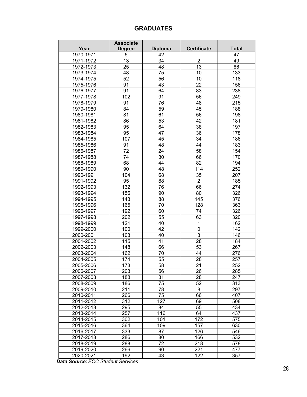# **GRADUATES**

|           | <b>Associate</b> |                 |                    |              |
|-----------|------------------|-----------------|--------------------|--------------|
| Year      | <b>Degree</b>    | <b>Diploma</b>  | <b>Certificate</b> | <b>Total</b> |
| 1970-1971 | 5                | 42              |                    | 47           |
| 1971-1972 | 13               | 34              | $\overline{2}$     | 49           |
| 1972-1973 | 25               | 48              | 13                 | 86           |
| 1973-1974 | 48               | 75              | 10                 | 133          |
| 1974-1975 | 52               | 56              | 10                 | 118          |
| 1975-1976 | 91               | 43              | 22                 | 156          |
| 1976-1977 | 91               | 64              | 83                 | 238          |
| 1977-1978 | 102              | 91              | 56                 | 249          |
| 1978-1979 | 91               | 76              | 48                 | 215          |
| 1979-1980 | 84               | 59              | 45                 | 188          |
| 1980-1981 | 81               | 61              | 56                 | 198          |
| 1981-1982 | 86               | 53              | 42                 | 181          |
| 1982-1983 | 95               | 64              | 38                 | 197          |
| 1983-1984 | 95               | 47              | 36                 | 178          |
| 1984-1985 | 107              | 45              | 34                 | 186          |
| 1985-1986 | 91               | 48              | 44                 | 183          |
| 1986-1987 | 72               | 24              | 58                 | 154          |
| 1987-1988 | 74               | 30              | 66                 | 170          |
| 1988-1989 | 68               | 44              | 82                 | 194          |
| 1989-1990 | 90               | 48              | 114                | 252          |
| 1990-1991 | 104              | 68              | 35                 | 207          |
| 1991-1992 | 95               | 88              | $\overline{2}$     | 185          |
| 1992-1993 | 132              | 76              | 66                 | 274          |
| 1993-1994 | 156              | 90              | 80                 | 326          |
| 1994-1995 | 143              | 88              | 145                | 376          |
| 1995-1996 | 165              | 70              | 128                | 363          |
| 1996-1997 | 192              | 60              | 74                 | 326          |
| 1997-1998 | 202              | 55              | 63                 | 320          |
| 1998-1999 | 121              | 40              | $\mathbf{1}$       | 162          |
| 1999-2000 | 100              | 42              | 0                  | 142          |
| 2000-2001 | 103              | 40              | $\overline{3}$     | 146          |
| 2001-2002 | 115              | 41              | 28                 | 184          |
| 2002-2003 | 148              | 66              | 53                 | 267          |
| 2003-2004 | 162              | 70              | 44                 | 276          |
| 2004-2005 | 174              | 55              | 28                 | 257          |
| 2005-2006 | $\overline{173}$ | $\overline{58}$ | 21                 | 252          |
| 2006-2007 | 203              | 56              | 26                 | 285          |
| 2007-2008 | 188              | 31              | 28                 | 247          |
| 2008-2009 | 186              | 75              | 52                 | 313          |
| 2009-2010 | 211              | 78              | 8                  | 297          |
| 2010-2011 | 266              | 75              | 66                 | 407          |
| 2011-2012 | 312              | 127             | 69                 | 508          |
| 2012-2013 | 295              | 84              | 55                 | 434          |
| 2013-2014 | 257              | 116             | 64                 | 437          |
| 2014-2015 | 302              | 101             | 172                | 575          |
| 2015-2016 | 364              | 109             | 157                | 630          |
| 2016-2017 | 333              | 87              | 126                | 546          |
| 2017-2018 | 286              | 80              | 166                | 532          |
| 2018-2019 | 288              | 72              | 218                | 578          |
| 2019-2020 | 266              | 90              | 221                | 477          |
| 2020-2021 | 192              | 43              | 122                | 357          |

*Data Source***:** *ECC Student Services*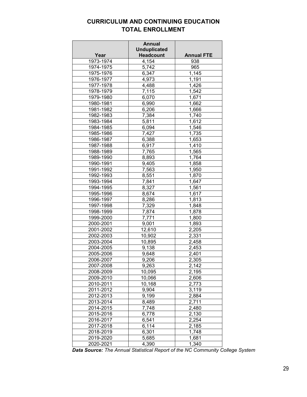# **CURRICULUM AND CONTINUING EDUCATION TOTAL ENROLLMENT**

|           | <b>Annual</b>                           |                    |
|-----------|-----------------------------------------|--------------------|
| Year      | <b>Unduplicated</b><br><b>Headcount</b> | <b>Annual FTE</b>  |
| 1973-1974 | 4,154                                   | 938                |
| 1974-1975 | 5,742                                   | 965                |
| 1975-1976 | 6,347                                   | 1,145              |
| 1976-1977 | 4,973                                   | 1,191              |
| 1977-1978 | 4,488                                   | 1,426              |
| 1978-1979 | 7,115                                   | 1,542              |
| 1979-1980 | 6,070                                   | 1,671              |
| 1980-1981 |                                         | 1,662              |
| 1981-1982 | 6,990                                   | 1,666              |
| 1982-1983 | 6,206<br>7,384                          | 1,740              |
| 1983-1984 | 5,811                                   |                    |
| 1984-1985 | 6,094                                   | 1,612<br>1,546     |
| 1985-1986 |                                         |                    |
|           | 7,427                                   | 1,735              |
| 1986-1987 | 6,388                                   | 1,653              |
| 1987-1988 | 6,917                                   | 1,410              |
| 1988-1989 | 7,765                                   | 1,565              |
| 1989-1990 | 8,893                                   | 1,764              |
| 1990-1991 | 9,405                                   | 1,858              |
| 1991-1992 | 7,563                                   | 1,950              |
| 1992-1993 | 8,551                                   | 1,870              |
| 1993-1994 | 7,841                                   | 1,647              |
| 1994-1995 | 8,327                                   | 1,561              |
| 1995-1996 | 8,674                                   | 1,617              |
| 1996-1997 | 8,286                                   | 1,813              |
| 1997-1998 | 7,329                                   | 1,848              |
| 1998-1999 | 7,874                                   | 1,878              |
| 1999-2000 | 7,771                                   | 1,800              |
| 2000-2001 | 9,001                                   | 1,893              |
| 2001-2002 | 12,610                                  | 2,205              |
| 2002-2003 | 10,902                                  | 2,331              |
| 2003-2004 | 10,895                                  | 2,458              |
| 2004-2005 | 9,138                                   | 2,453              |
| 2005-2006 | 9,648                                   | 2,401              |
| 2006-2007 | 9,206                                   | 2,305              |
| 2007-2008 | 9,263                                   | 2,142              |
| 2008-2009 | 10,095                                  | 2,195              |
| 2009-2010 | 10,066                                  | 2,606              |
| 2010-2011 | 10,168                                  | 2,773              |
| 2011-2012 | 9,904                                   | 3,119              |
| 2012-2013 | 9,199                                   | 2,884              |
| 2013-2014 | 8,489                                   | $2,7\overline{11}$ |
| 2014-2015 | 7,748                                   | 2,480              |
| 2015-2016 | 6,778                                   | 2,130              |
| 2016-2017 | 6,541                                   | 2,254              |
| 2017-2018 | 6,114                                   | 2,185              |
| 2018-2019 | 6,301                                   | 1,748              |
| 2019-2020 | 5,685                                   | 1,681              |
| 2020-2021 | 4,390                                   | 1,340              |

*Data Source: The Annual Statistical Report of the NC Community College System*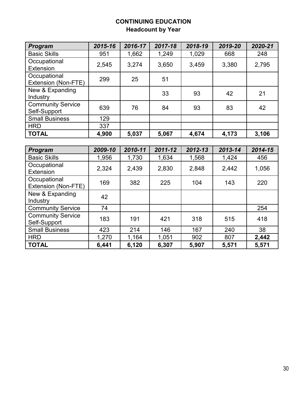# **CONTINUING EDUCATION Headcount by Year**

| Program                                  | 2015-16 | 2016-17 | 2017-18 | 2018-19 | 2019-20 | 2020-21 |
|------------------------------------------|---------|---------|---------|---------|---------|---------|
| <b>Basic Skills</b>                      | 951     | 1,662   | 1,249   | 1,029   | 668     | 248     |
| Occupational<br>Extension                | 2,545   | 3,274   | 3,650   | 3,459   | 3,380   | 2,795   |
| Occupational<br>Extension (Non-FTE)      | 299     | 25      | 51      |         |         |         |
| New & Expanding<br>Industry              |         |         | 33      | 93      | 42      | 21      |
| <b>Community Service</b><br>Self-Support | 639     | 76      | 84      | 93      | 83      | 42      |
| <b>Small Business</b>                    | 129     |         |         |         |         |         |
| <b>HRD</b>                               | 337     |         |         |         |         |         |
| <b>TOTAL</b>                             | 4,900   | 5,037   | 5,067   | 4,674   | 4,173   | 3,106   |
|                                          |         |         |         |         |         |         |
| <b>Program</b>                           | 2009-10 | 2010-11 | 2011-12 | 2012-13 | 2013-14 | 2014-15 |
| <b>Basic Skills</b>                      | 1,956   | 1,730   | 1,634   | 1,568   | 1,424   | 456     |
| Occupational<br><b>Extension</b>         | 2,324   | 2,439   | 2,830   | 2,848   | 2,442   | 1,056   |
| Occupational<br>Extension (Non-FTE)      | 169     | 382     | 225     | 104     | 143     | 220     |
|                                          |         |         |         |         |         |         |
| New & Expanding<br>Industry              | 42      |         |         |         |         |         |
| <b>Community Service</b>                 | 74      |         |         |         |         | 254     |
| <b>Community Service</b><br>Self-Support | 183     | 191     | 421     | 318     | 515     | 418     |
| <b>Small Business</b>                    | 423     | 214     | 146     | 167     | 240     | 38      |
| <b>HRD</b>                               | 1,270   | 1,164   | 1,051   | 902     | 807     | 2,442   |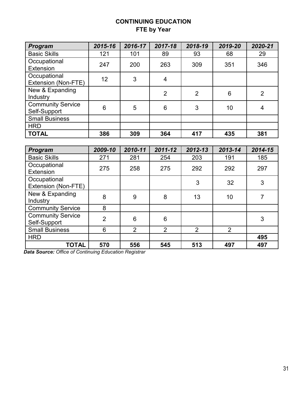# **CONTINUING EDUCATION FTE by Year**

| Program                                  | 2015-16        | 2016-17        | 2017-18        | 2018-19        | 2019-20        | 2020-21        |
|------------------------------------------|----------------|----------------|----------------|----------------|----------------|----------------|
| <b>Basic Skills</b>                      | 121            | 101            | 89             | 93             | 68             | 29             |
| Occupational<br>Extension                | 247            | 200            | 263            | 309            | 351            | 346            |
| Occupational<br>Extension (Non-FTE)      | 12             | 3              | $\overline{4}$ |                |                |                |
| New & Expanding<br>Industry              |                |                | $\overline{2}$ | $\overline{2}$ | 6              | $\overline{2}$ |
| <b>Community Service</b><br>Self-Support | 6              | 5              | 6              | 3              | 10             | $\overline{4}$ |
| <b>Small Business</b>                    |                |                |                |                |                |                |
| <b>HRD</b>                               |                |                |                |                |                |                |
| <b>TOTAL</b>                             | 386            | 309            | 364            | 417            | 435            | 381            |
|                                          |                |                |                |                |                |                |
| Program                                  | 2009-10        | 2010-11        | 2011-12        | 2012-13        | 2013-14        | 2014-15        |
| <b>Basic Skills</b>                      | 271            | 281            | 254            | 203            | 191            | 185            |
|                                          |                |                |                |                |                |                |
| Occupational<br>Extension                | 275            | 258            | 275            | 292            | 292            | 297            |
| Occupational<br>Extension (Non-FTE)      |                |                |                | 3              | 32             | 3              |
| New & Expanding<br>Industry              | 8              | 9              | 8              | 13             | 10             | $\overline{7}$ |
| <b>Community Service</b>                 | 8              |                |                |                |                |                |
| <b>Community Service</b><br>Self-Support | $\overline{2}$ | 6              | 6              |                |                | 3              |
| <b>Small Business</b>                    | 6              | $\overline{2}$ | $\overline{2}$ | $\overline{2}$ | $\overline{2}$ |                |
| <b>HRD</b>                               |                |                |                |                |                | 495            |

 *Data Source: Office of Continuing Education Registrar*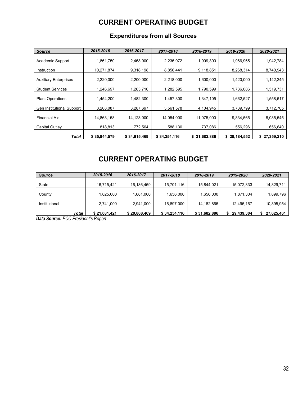# **CURRENT OPERATING BUDGET**

| <b>Source</b>                | 2015-2016    | 2016-2017    | 2017-2018    | 2018-2019     | 2019-2020    | 2020-2021    |
|------------------------------|--------------|--------------|--------------|---------------|--------------|--------------|
| Academic Support             | 1,861,750    | 2,468,000    | 2,236,072    | 1,909,300     | 1,966,965    | 1,942,784    |
| Instruction                  | 10,271,874   | 9,318,198    | 8,856,441    | 9,118,851     | 8,268,314    | 8,740,943    |
| <b>Auxiliary Enterprises</b> | 2,220,000    | 2,200,000    | 2,218,000    | 1,600,000     | 1,420,000    | 1,142,245    |
| <b>Student Services</b>      | 1,246,697    | 1,263,710    | 1,282,595    | 1,790,599     | 1,736,086    | 1,519,731    |
| <b>Plant Operations</b>      | 1,454,200    | 1,482,300    | 1,457,300    | 1,347,105     | 1,662,527    | 1,558,617    |
| Gen Institutional Support    | 3,208,087    | 3,287,697    | 3,561,578    | 4,104,945     | 3,739,799    | 3,712,705    |
| <b>Financial Aid</b>         | 14,863,158   | 14,123,000   | 14,054,000   | 11,075,000    | 9,834,565    | 8,085,545    |
| Capital Outlay               | 818,813      | 772,564      | 588,130      | 737,086       | 556,296      | 656,640      |
| Total                        | \$35,944,579 | \$34,915,469 | \$34,254,116 | \$ 31,682,886 | \$29,184,552 | \$27,359,210 |

# **Expenditures from all Sources**

# **CURRENT OPERATING BUDGET**

| <b>Source</b> | 2015-2016    | 2016-2017    | 2017-2018    | 2018-2019    | 2019-2020  | 2020-2021  |
|---------------|--------------|--------------|--------------|--------------|------------|------------|
|               |              |              |              |              |            |            |
| <b>State</b>  | 16,715,421   | 16,186,469   | 15,701,116   | 15,844,021   | 15,072,833 | 14,829,711 |
|               |              |              |              |              |            |            |
| County        | .625,000     | 1,681,000    | 1,656,000    | 1,656,000    | 1,871,304  | 1,899,796  |
|               |              |              |              |              |            |            |
| Institutional | 2,741,000    | 2,941,000    | 16,897,000   | 14, 182, 865 | 12,495,167 | 10,895,954 |
|               |              |              |              |              |            |            |
| Total         | \$21,081,421 | \$20,808,469 | \$34,254,116 | \$31,682,886 | 29,439,304 | 27,625,461 |

*Data Source: ECC President's Report*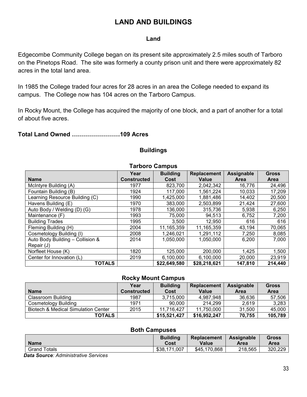# **LAND AND BUILDINGS**

# **Land**

Edgecombe Community College began on its present site approximately 2.5 miles south of Tarboro on the Pinetops Road. The site was formerly a county prison unit and there were approximately 82 acres in the total land area.

In 1985 the College traded four acres for 28 acres in an area the College needed to expand its campus. The College now has 104 acres on the Tarboro Campus.

In Rocky Mount, the College has acquired the majority of one block, and a part of another for a total of about five acres.

**Total Land Owned ……………………109 Acres**

# **Buildings**

| TAI DUI U VAIIIDUS               |                    |                 |                    |             |              |  |  |
|----------------------------------|--------------------|-----------------|--------------------|-------------|--------------|--|--|
|                                  | Year               | <b>Building</b> | <b>Replacement</b> | Assignable  | <b>Gross</b> |  |  |
| <b>Name</b>                      | <b>Constructed</b> | Cost            | <b>Value</b>       | <b>Area</b> | <b>Area</b>  |  |  |
| McIntyre Building (A)            | 1977               | 823,700         | 2,042,342          | 16,776      | 24,496       |  |  |
| Fountain Building (B)            | 1924               | 117,000         | 1,561,224          | 10,033      | 17,209       |  |  |
| Learning Resource Building (C)   | 1990               | 1,425,000       | 1,881,486          | 14,402      | 20,500       |  |  |
| Havens Building (E)              | 1970               | 383,000         | 2,503,899          | 21,424      | 27,600       |  |  |
| Auto Body / Welding (D) (G)      | 1978               | 136,000         | 315,736            | 5,938       | 6,250        |  |  |
| Maintenance (F)                  | 1993               | 75,000          | 94,513             | 6,752       | 7,200        |  |  |
| <b>Building Trades</b>           | 1995               | 3,500           | 12,950             | 616         | 616          |  |  |
| Fleming Building (H)             | 2004               | 11,165,359      | 11,165,359         | 43,194      | 70,065       |  |  |
| Cosmetology Building (I)         | 2008               | 1,246,021       | 1,291,112          | 7,250       | 8,085        |  |  |
| Auto Body Building - Collision & | 2014               | 1,050,000       | 1,050,000          | 6,200       | 7,000        |  |  |
| Repair (J)                       |                    |                 |                    |             |              |  |  |
| Norfleet House (K)               | 1820               | 125,000         | 200,000            | 1,425       | 1,500        |  |  |
| Center for Innovation (L)        | 2019               | 6,100,000       | 6,100,000          | 20,000      | 23,919       |  |  |
| <b>TOTALS</b>                    |                    | \$22,649,580    | \$28,218,621       | 147,810     | 214,440      |  |  |

# **Tarboro Campus**

# **Rocky Mount Campus**

|                                     | Year               | <b>Building</b> | Replacement  | Assignable  | <b>Gross</b> |
|-------------------------------------|--------------------|-----------------|--------------|-------------|--------------|
| <b>Name</b>                         | <b>Constructed</b> | Cost            | Value        | <b>Area</b> | <b>Area</b>  |
| Classroom Building                  | 1987               | 3,715,000       | 4,987,948    | 36,636      | 57,506       |
| Cosmetology Building                | 1971               | 90,000          | 214,299      | 2,619       | 3,283        |
| Biotech & Medical Simulation Center | 2015               | 11,716,427      | 11,750,000   | 31,500      | 45,000       |
| <b>TOTALS</b>                       |                    | \$15,521,427    | \$16,952,247 | 70,755      | 105,789      |

#### **Both Campuses**

| <b>Name</b>  | <b>Building</b>  | <b>Replacement</b> | <b>Assignable</b> | Gross   |
|--------------|------------------|--------------------|-------------------|---------|
|              | Cost             | Value              | Area              | Area    |
| Grand Totals | ,007<br>\$38,171 | \$45,170,868       | 218,565           | 320,229 |

 *Data Source: Administrative Services*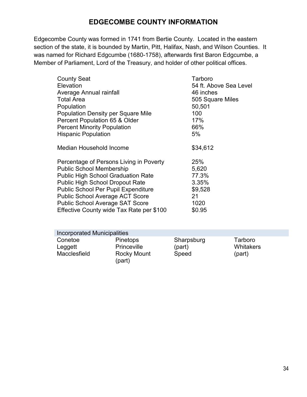# **EDGECOMBE COUNTY INFORMATION**

Edgecombe County was formed in 1741 from Bertie County. Located in the eastern section of the state, it is bounded by Martin, Pitt, Halifax, Nash, and Wilson Counties. It was named for Richard Edgcumbe (1680-1758), afterwards first Baron Edgcumbe, a Member of Parliament, Lord of the Treasury, and holder of other political offices.

| <b>County Seat</b>                         | Tarboro                |
|--------------------------------------------|------------------------|
| Elevation                                  | 54 ft. Above Sea Level |
| Average Annual rainfall                    | 46 inches              |
| <b>Total Area</b>                          | 505 Square Miles       |
| Population                                 | 50,501                 |
| <b>Population Density per Square Mile</b>  | 100                    |
| Percent Population 65 & Older              | 17%                    |
| <b>Percent Minority Population</b>         | 66%                    |
| <b>Hispanic Population</b>                 | 5%                     |
| Median Household Income                    | \$34,612               |
| Percentage of Persons Living in Poverty    | 25%                    |
| <b>Public School Membership</b>            | 5,620                  |
| <b>Public High School Graduation Rate</b>  | 77.3%                  |
| <b>Public High School Dropout Rate</b>     | 3.35%                  |
| <b>Public School Per Pupil Expenditure</b> | \$9,528                |
| <b>Public School Average ACT Score</b>     | 21                     |
| <b>Public School Average SAT Score</b>     | 1020                   |
| Effective County wide Tax Rate per \$100   | \$0.95                 |

| <b>Incorporated Municipalities</b> |                              |            |                  |  |  |  |
|------------------------------------|------------------------------|------------|------------------|--|--|--|
| Conetoe                            | <b>Pinetops</b>              | Sharpsburg | Tarboro          |  |  |  |
| Leggett                            | <b>Princeville</b>           | (part)     | <b>Whitakers</b> |  |  |  |
| Macclesfield                       | <b>Rocky Mount</b><br>(part) | Speed      | (part)           |  |  |  |